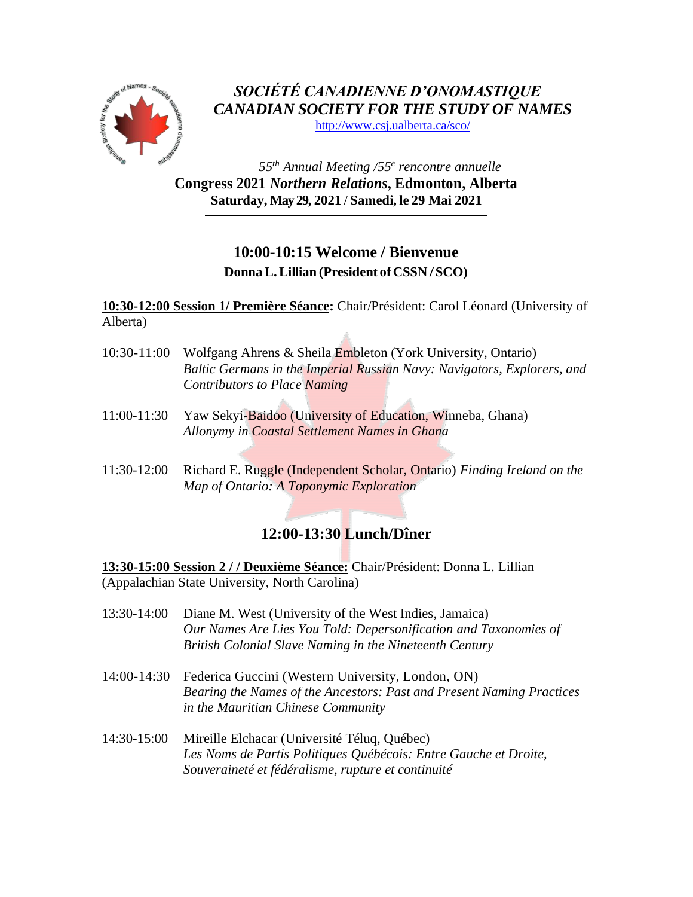

*SOCIÉTÉ CANADIENNE D'ONOMASTIQUE CANADIAN SOCIETY FOR THE STUDY OF NAMES* <http://www.csj.ualberta.ca/sco/>

*55 th Annual Meeting /55 e rencontre annuelle* **Congress 2021** *Northern Relations***, Edmonton, Alberta Saturday, May 29, 2021** / **Samedi, le 29 Mai 2021**

## **10:00-10:15 Welcome / Bienvenue DonnaL.Lillian (President of CSSN /SCO)**

**10:30-12:00 Session 1/ Première Séance:** Chair/Président: Carol Léonard (University of Alberta)

- 10:30-11:00 Wolfgang Ahrens & Sheila Embleton (York University, Ontario) *Baltic Germans in the Imperial Russian Navy: Navigators, Explorers, and Contributors to Place Naming*
- 11:00-11:30 Yaw Sekyi-Baidoo (University of Education, Winneba, Ghana) *Allonymy in Coastal Settlement Names in Ghana*
- 11:30-12:00 Richard E. Ruggle (Independent Scholar, Ontario) *Finding Ireland on the Map of Ontario: A Toponymic Exploration*

## **12:00-13:30 Lunch/Dîner**

**13:30-15:00 Session 2 / / Deuxième Séance:** Chair/Président: Donna L. Lillian (Appalachian State University, North Carolina)

- 13:30-14:00 Diane M. West (University of the West Indies, Jamaica) *Our Names Are Lies You Told: Depersonification and Taxonomies of British Colonial Slave Naming in the Nineteenth Century*
- 14:00-14:30 Federica Guccini (Western University, London, ON) *Bearing the Names of the Ancestors: Past and Present Naming Practices in the Mauritian Chinese Community*
- 14:30-15:00 Mireille Elchacar (Université Téluq, Québec) *Les Noms de Partis Politiques Québécois: Entre Gauche et Droite, Souveraineté et fédéralisme, rupture et continuité*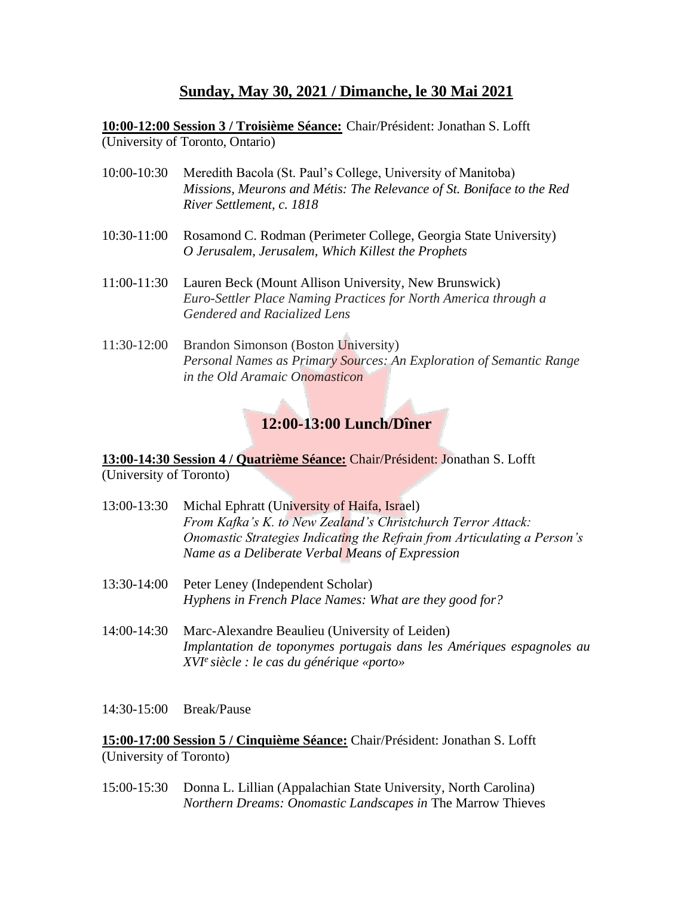## **Sunday, May 30, 2021 / Dimanche, le 30 Mai 2021**

**10:00-12:00 Session 3 / Troisième Séance:** Chair/Président: Jonathan S. Lofft (University of Toronto, Ontario)

- 10:00-10:30 Meredith Bacola (St. Paul's College, University of Manitoba) *Missions, Meurons and Métis: The Relevance of St. Boniface to the Red River Settlement, c. 1818*
- 10:30-11:00 Rosamond C. Rodman (Perimeter College, Georgia State University) *O Jerusalem, Jerusalem, Which Killest the Prophets*
- 11:00-11:30 Lauren Beck (Mount Allison University, New Brunswick) *Euro-Settler Place Naming Practices for North America through a Gendered and Racialized Lens*
- 11:30-12:00 Brandon Simonson (Boston University) *Personal Names as Primary Sources: An Exploration of Semantic Range in the Old Aramaic Onomasticon*

## **12:00-13:00 Lunch/Dîner**

**13:00-14:30 Session 4 / Quatrième Séance:** Chair/Président: Jonathan S. Lofft (University of Toronto)

- 13:00-13:30 Michal Ephratt (University of Haifa, Israel) *From Kafka's K. to New Zealand's Christchurch Terror Attack: Onomastic Strategies Indicating the Refrain from Articulating a Person's Name as a Deliberate Verbal Means of Expression*
- 13:30-14:00 Peter Leney (Independent Scholar) *Hyphens in French Place Names: What are they good for?*
- 14:00-14:30 Marc-Alexandre Beaulieu (University of Leiden) *Implantation de toponymes portugais dans les Amériques espagnoles au XVI<sup>e</sup>siècle : le cas du générique «porto»*

14:30-15:00 Break/Pause

**15:00-17:00 Session 5 / Cinquième Séance:** Chair/Président: Jonathan S. Lofft (University of Toronto)

15:00-15:30 Donna L. Lillian (Appalachian State University, North Carolina) *Northern Dreams: Onomastic Landscapes in* The Marrow Thieves